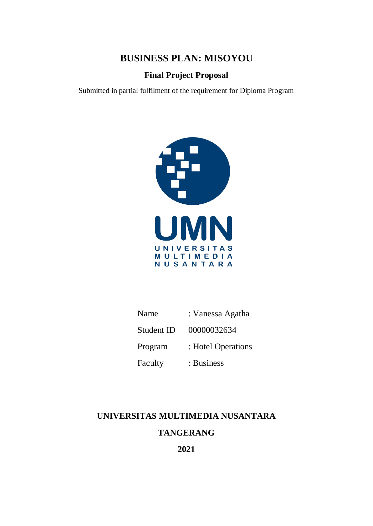**BUSINESS PLAN: MISOYOU**

**Final Project Proposal**

Submitted in partial fulfilment of the requirement for Diploma Program



| Name       | : Vanessa Agatha   |
|------------|--------------------|
| Student ID | 00000032634        |
| Program    | : Hotel Operations |
| Faculty    | : Business         |

### **UNIVERSITAS MULTIMEDIA NUSANTARA**

## **TANGERANG**

**2021**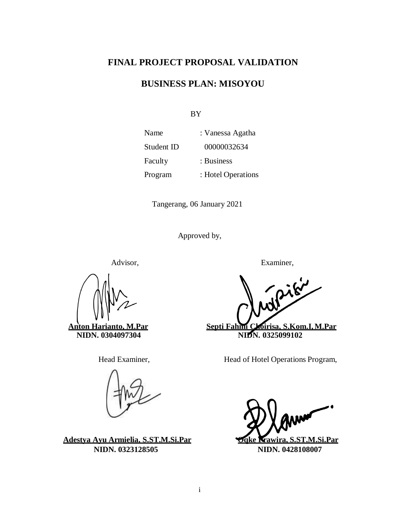### **FINAL PROJECT PROPOSAL VALIDATION**

### **BUSINESS PLAN: MISOYOU**

BY

| Name       | : Vanessa Agatha   |
|------------|--------------------|
| Student ID | 00000032634        |
| Faculty    | : Business         |
| Program    | : Hotel Operations |

Tangerang, 06 January 2021

Approved by,

**Adestya Ayu Armielia, S.ST.M.Si.Par Oqke Prawira, S.ST.M.Si.Par NIDN. 0323128505 NIDN. 0428108007**

Advisor, Examiner,

piki **Anton Harianto, M.Par Septi Fahmi Choirisa, S.Kom.I,M.Par NIDN. 0304097304 NIDN. 0325099102** 

Head Examiner, Head of Hotel Operations Program,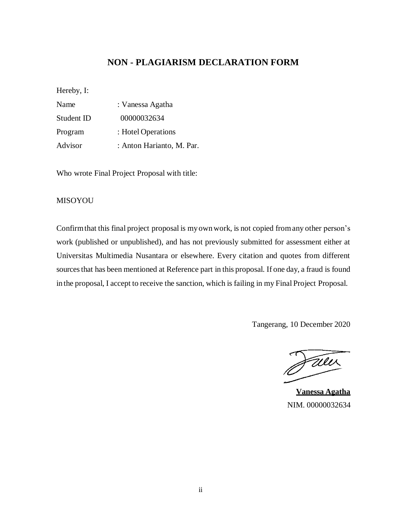### **NON - PLAGIARISM DECLARATION FORM**

<span id="page-2-0"></span>Hereby, I:

| Name       | : Vanessa Agatha          |
|------------|---------------------------|
| Student ID | 00000032634               |
| Program    | : Hotel Operations        |
| Advisor    | : Anton Harianto, M. Par. |

Who wrote Final Project Proposal with title:

#### MISOYOU

Confirmthat this final project proposal is myownwork, is not copied fromany other person's work (published or unpublished), and has not previously submitted for assessment either at Universitas Multimedia Nusantara or elsewhere. Every citation and quotes from different sourcesthat has been mentioned at Reference part in this proposal. If one day, a fraud is found in the proposal, I accept to receive the sanction, which is failing in my Final Project Proposal.

Tangerang, 10 December 2020

Faler

**Vanessa Agatha** NIM. 00000032634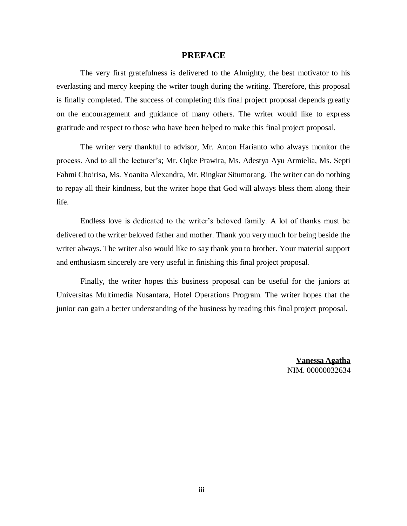#### **PREFACE**

<span id="page-3-0"></span>The very first gratefulness is delivered to the Almighty, the best motivator to his everlasting and mercy keeping the writer tough during the writing. Therefore, this proposal is finally completed. The success of completing this final project proposal depends greatly on the encouragement and guidance of many others. The writer would like to express gratitude and respect to those who have been helped to make this final project proposal.

The writer very thankful to advisor, Mr. Anton Harianto who always monitor the process. And to all the lecturer's; Mr. Oqke Prawira, Ms. Adestya Ayu Armielia, Ms. Septi Fahmi Choirisa, Ms. Yoanita Alexandra, Mr. Ringkar Situmorang. The writer can do nothing to repay all their kindness, but the writer hope that God will always bless them along their life.

Endless love is dedicated to the writer's beloved family. A lot of thanks must be delivered to the writer beloved father and mother. Thank you very much for being beside the writer always. The writer also would like to say thank you to brother. Your material support and enthusiasm sincerely are very useful in finishing this final project proposal.

Finally, the writer hopes this business proposal can be useful for the juniors at Universitas Multimedia Nusantara, Hotel Operations Program. The writer hopes that the junior can gain a better understanding of the business by reading this final project proposal.

> **Vanessa Agatha** NIM. 00000032634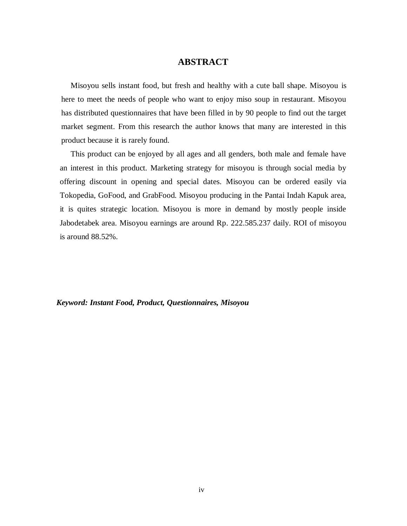### **ABSTRACT**

<span id="page-4-0"></span>Misoyou sells instant food, but fresh and healthy with a cute ball shape. Misoyou is here to meet the needs of people who want to enjoy miso soup in restaurant. Misoyou has distributed questionnaires that have been filled in by 90 people to find out the target market segment. From this research the author knows that many are interested in this product because it is rarely found.

This product can be enjoyed by all ages and all genders, both male and female have an interest in this product. Marketing strategy for misoyou is through social media by offering discount in opening and special dates. Misoyou can be ordered easily via Tokopedia, GoFood, and GrabFood. Misoyou producing in the Pantai Indah Kapuk area, it is quites strategic location. Misoyou is more in demand by mostly people inside Jabodetabek area. Misoyou earnings are around Rp. 222.585.237 daily. ROI of misoyou is around 88.52%.

*Keyword: Instant Food, Product, Questionnaires, Misoyou*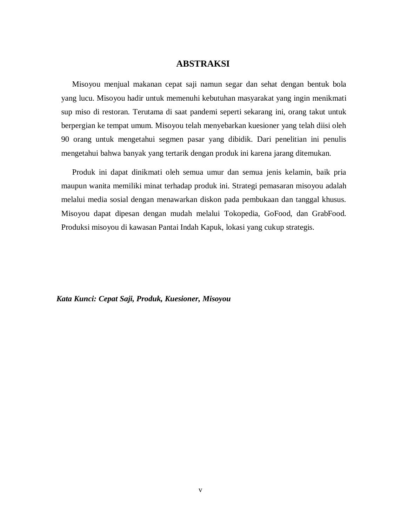### **ABSTRAKSI**

Misoyou menjual makanan cepat saji namun segar dan sehat dengan bentuk bola yang lucu. Misoyou hadir untuk memenuhi kebutuhan masyarakat yang ingin menikmati sup miso di restoran. Terutama di saat pandemi seperti sekarang ini, orang takut untuk berpergian ke tempat umum. Misoyou telah menyebarkan kuesioner yang telah diisi oleh 90 orang untuk mengetahui segmen pasar yang dibidik. Dari penelitian ini penulis mengetahui bahwa banyak yang tertarik dengan produk ini karena jarang ditemukan.

Produk ini dapat dinikmati oleh semua umur dan semua jenis kelamin, baik pria maupun wanita memiliki minat terhadap produk ini. Strategi pemasaran misoyou adalah melalui media sosial dengan menawarkan diskon pada pembukaan dan tanggal khusus. Misoyou dapat dipesan dengan mudah melalui Tokopedia, GoFood, dan GrabFood. Produksi misoyou di kawasan Pantai Indah Kapuk, lokasi yang cukup strategis.

*Kata Kunci: Cepat Saji, Produk, Kuesioner, Misoyou*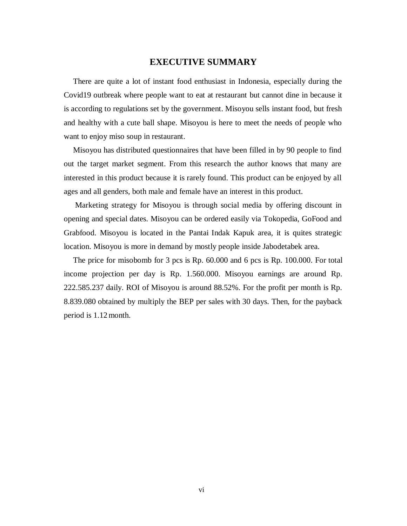#### **EXECUTIVE SUMMARY**

There are quite a lot of instant food enthusiast in Indonesia, especially during the Covid19 outbreak where people want to eat at restaurant but cannot dine in because it is according to regulations set by the government. Misoyou sells instant food, but fresh and healthy with a cute ball shape. Misoyou is here to meet the needs of people who want to enjoy miso soup in restaurant.

Misoyou has distributed questionnaires that have been filled in by 90 people to find out the target market segment. From this research the author knows that many are interested in this product because it is rarely found. This product can be enjoyed by all ages and all genders, both male and female have an interest in this product.

Marketing strategy for Misoyou is through social media by offering discount in opening and special dates. Misoyou can be ordered easily via Tokopedia, GoFood and Grabfood. Misoyou is located in the Pantai Indak Kapuk area, it is quites strategic location. Misoyou is more in demand by mostly people inside Jabodetabek area.

The price for misobomb for 3 pcs is Rp. 60.000 and 6 pcs is Rp. 100.000. For total income projection per day is Rp. 1.560.000. Misoyou earnings are around Rp. 222.585.237 daily. ROI of Misoyou is around 88.52%. For the profit per month is Rp. 8.839.080 obtained by multiply the BEP per sales with 30 days. Then, for the payback period is 1.12month.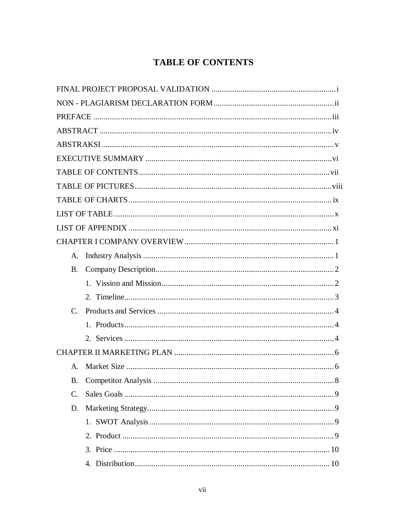# **TABLE OF CONTENTS**

<span id="page-7-0"></span>

| A.              |     |
|-----------------|-----|
| <b>B.</b>       |     |
|                 |     |
|                 |     |
| $C_{\cdot}$     |     |
|                 |     |
|                 |     |
|                 |     |
| $A_{\cdot}$     |     |
|                 | . 8 |
| $\mathcal{C}$ . |     |
| D.              |     |
|                 |     |
|                 |     |
|                 |     |
|                 |     |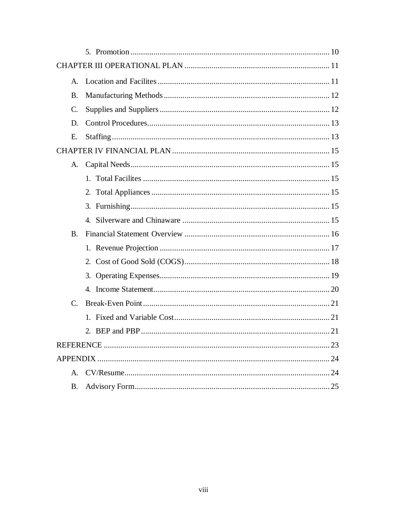| $A_{\cdot}$     |  |
|-----------------|--|
| Β.              |  |
| $\mathcal{C}$ . |  |
| D.              |  |
| Е.              |  |
|                 |  |
| A.              |  |
|                 |  |
|                 |  |
|                 |  |
|                 |  |
| <b>B.</b>       |  |
|                 |  |
|                 |  |
|                 |  |
|                 |  |
| C.              |  |
|                 |  |
|                 |  |
|                 |  |
|                 |  |
| $\mathsf{A}$ .  |  |
| B.              |  |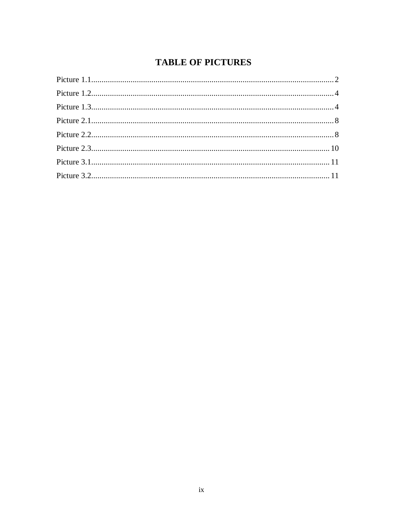# **TABLE OF PICTURES**

<span id="page-9-0"></span>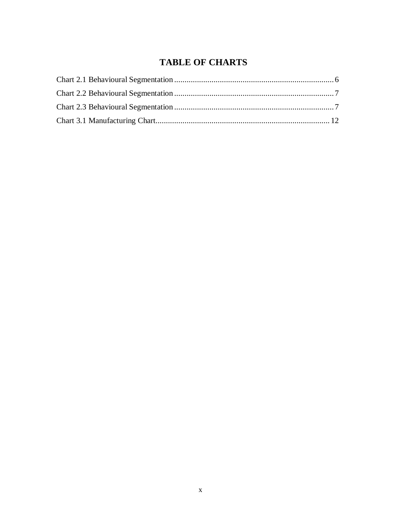## **TABLE OF CHARTS**

<span id="page-10-0"></span>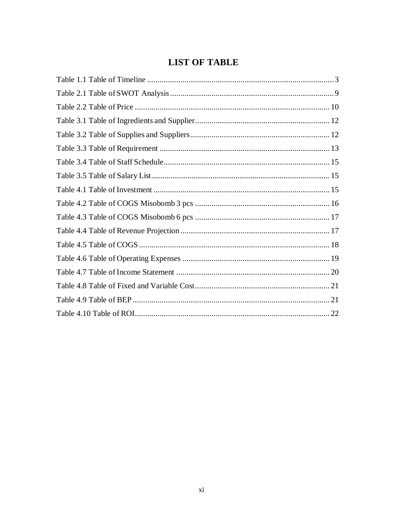## **LIST OF TABLE**

<span id="page-11-0"></span>